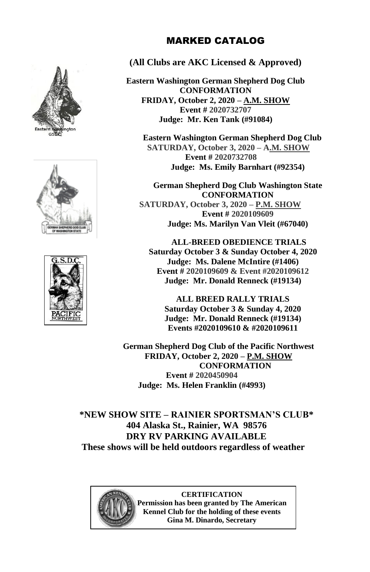





#### MARKED CATALOG

#### **(All Clubs are AKC Licensed & Approved)**

**Eastern Washington German Shepherd Dog Club CONFORMATION FRIDAY, October 2, 2020 – A.M. SHOW Event # 2020732707 Judge: Mr. Ken Tank (#91084)**

**Eastern Washington German Shepherd Dog Club SATURDAY, October 3, 2020 – A.M. SHOW Event # 2020732708 Judge: Ms. Emily Barnhart (#92354)**

**German Shepherd Dog Club Washington State CONFORMATION SATURDAY, October 3, 2020 – P.M. SHOW Event # 2020109609 Judge: Ms. Marilyn Van Vleit (#67040)**

**ALL-BREED OBEDIENCE TRIALS Saturday October 3 & Sunday October 4, 2020 Judge: Ms. Dalene McIntire (#1406) Event # 2020109609 & Event #2020109612 Judge: Mr. Donald Renneck (#19134)**

**ALL BREED RALLY TRIALS Saturday October 3 & Sunday 4, 2020 Judge: Mr. Donald Renneck (#19134) Events #2020109610 & #2020109611**

**German Shepherd Dog Club of the Pacific Northwest FRIDAY, October 2, 2020 – P.M. SHOW CONFORMATION Event # 2020450904 Judge: Ms. Helen Franklin (#4993)**

**\*NEW SHOW SITE – RAINIER SPORTSMAN'S CLUB\* 404 Alaska St., Rainier, WA 98576 DRY RV PARKING AVAILABLE These shows will be held outdoors regardless of weather**



**CERTIFICATION Permission has been granted by The American Kennel Club for the holding of these events Gina M. Dinardo, Secretary**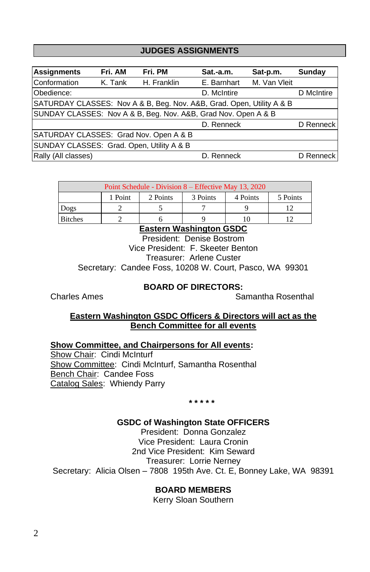#### **JUDGES ASSIGNMENTS**

| <b>Assignments</b>                                                    | Fri. AM | Fri. PM     | $Sat.-a.m.$ | Sat-p.m.     | Sunday     |
|-----------------------------------------------------------------------|---------|-------------|-------------|--------------|------------|
| Conformation                                                          | K. Tank | H. Franklin | E. Barnhart | M. Van Vleit |            |
| Obedience:                                                            |         |             | D. McIntire |              | D McIntire |
| SATURDAY CLASSES: Nov A & B, Beg. Nov. A&B, Grad. Open, Utility A & B |         |             |             |              |            |
| SUNDAY CLASSES: Nov A & B, Beg. Nov. A&B, Grad Nov. Open A & B        |         |             |             |              |            |
|                                                                       |         |             | D. Renneck  |              | D Renneck  |
| SATURDAY CLASSES: Grad Nov. Open A & B                                |         |             |             |              |            |
| SUNDAY CLASSES: Grad. Open, Utility A & B                             |         |             |             |              |            |
| Rally (All classes)                                                   |         |             | D. Renneck  |              | D Renneck  |

| Point Schedule - Division 8 – Effective May 13, 2020 |                                                         |  |  |  |  |  |
|------------------------------------------------------|---------------------------------------------------------|--|--|--|--|--|
|                                                      | 1 Point<br>2 Points<br>3 Points<br>5 Points<br>4 Points |  |  |  |  |  |
| Dogs                                                 |                                                         |  |  |  |  |  |
| <b>Bitches</b>                                       |                                                         |  |  |  |  |  |

**Eastern Washington GSDC**

President: Denise Bostrom Vice President: F. Skeeter Benton Treasurer: Arlene Custer Secretary: Candee Foss, 10208 W. Court, Pasco, WA 99301

#### **BOARD OF DIRECTORS:**

Charles Ames **Samantha Rosenthal** 

#### **Eastern Washington GSDC Officers & Directors will act as the Bench Committee for all events**

**Show Committee, and Chairpersons for All events:**

Show Chair: Cindi McInturf Show Committee: Cindi McInturf, Samantha Rosenthal Bench Chair: Candee Foss Catalog Sales: Whiendy Parry

**\* \* \* \* \***

#### **GSDC of Washington State OFFICERS**

President: Donna Gonzalez Vice President: Laura Cronin 2nd Vice President: Kim Seward Treasurer: Lorrie Nerney Secretary: Alicia Olsen – 7808 195th Ave. Ct. E, Bonney Lake, WA 98391

#### **BOARD MEMBERS**

Kerry Sloan Southern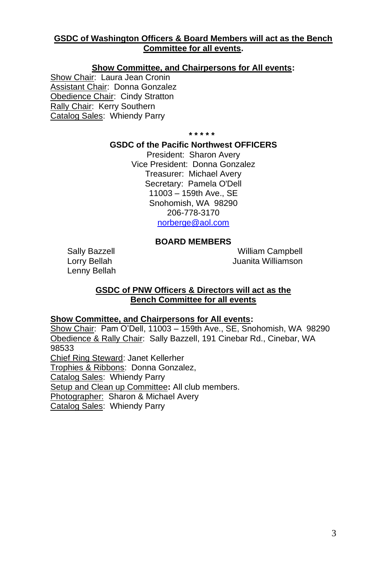#### **GSDC of Washington Officers & Board Members will act as the Bench Committee for all events.**

#### **Show Committee, and Chairpersons for All events:**

Show Chair: Laura Jean Cronin Assistant Chair: Donna Gonzalez Obedience Chair: Cindy Stratton Rally Chair: Kerry Southern Catalog Sales: Whiendy Parry

**\* \* \* \* \***

#### **GSDC of the Pacific Northwest OFFICERS**

President: Sharon Avery Vice President: Donna Gonzalez Treasurer: Michael Avery Secretary: Pamela O'Dell 11003 – 159th Ave., SE Snohomish, WA 98290 206-778-3170 [norberge@aol.com](mailto:norberge@aol.com)

#### **BOARD MEMBERS**

Lenny Bellah

Sally Bazzell **Mulliam Campbell** Lorry Bellah **Juanita Williamson** 

#### **GSDC of PNW Officers & Directors will act as the Bench Committee for all events**

#### **Show Committee, and Chairpersons for All events:**

Show Chair: Pam O'Dell, 11003 – 159th Ave., SE, Snohomish, WA 98290 Obedience & Rally Chair: Sally Bazzell, 191 Cinebar Rd., Cinebar, WA 98533 Chief Ring Steward: Janet Kellerher Trophies & Ribbons: Donna Gonzalez, Catalog Sales: Whiendy Parry Setup and Clean up Committee**:** All club members. Photographer: Sharon & Michael Avery Catalog Sales: Whiendy Parry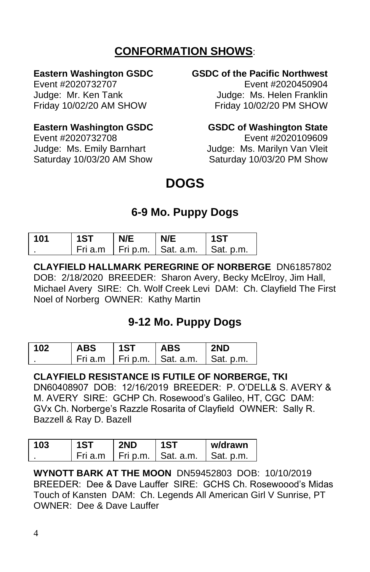## **CONFORMATION SHOWS**:

#### **Eastern Washington GSDC GSDC of the Pacific Northwest**

Event #2020732707 Event #2020450904 Judge: Mr. Ken Tank Judge: Ms. Helen Franklin Friday 10/02/20 AM SHOW Friday 10/02/20 PM SHOW

#### **Eastern Washington GSDC GSDC of Washington State**

Event #2020732708 Event #2020109609

Judge: Ms. Emily Barnhart Judge: Ms. Marilyn Van Vleit Saturday 10/03/20 AM Show Saturday 10/03/20 PM Show

# **DOGS**

## **6-9 Mo. Puppy Dogs**

| 101 | 1ST | N/E | N/E                            | 1ST               |
|-----|-----|-----|--------------------------------|-------------------|
|     |     |     | Fri a.m   Fri p.m.   Sat. a.m. | $\vert$ Sat. p.m. |

**CLAYFIELD HALLMARK PEREGRINE OF NORBERGE** DN61857802 DOB: 2/18/2020 BREEDER: Sharon Avery, Becky McElroy, Jim Hall, Michael Avery SIRE: Ch. Wolf Creek Levi DAM: Ch. Clayfield The First Noel of Norberg OWNER: Kathy Martin

## **9-12 Mo. Puppy Dogs**

| 102 | <b>ABS</b> | 1ST | <b>ABS</b>                     | 2ND       |
|-----|------------|-----|--------------------------------|-----------|
|     |            |     | Fri a.m   Fri p.m.   Sat. a.m. | Sat. p.m. |

**CLAYFIELD RESISTANCE IS FUTILE OF NORBERGE, TKI** DN60408907 DOB: 12/16/2019 BREEDER: P. O'DELL& S. AVERY & M. AVERY SIRE: GCHP Ch. Rosewood's Galileo, HT, CGC DAM: GVx Ch. Norberge's Razzle Rosarita of Clayfield OWNER: Sally R. Bazzell & Ray D. Bazell

| 103 | 1ST     | 2ND | 1ST                    | w/drawn   |
|-----|---------|-----|------------------------|-----------|
|     | Fri a.m |     | I Fri p.m. I Sat. a.m. | Sat. p.m. |

**WYNOTT BARK AT THE MOON** DN59452803 DOB: 10/10/2019 BREEDER: Dee & Dave Lauffer SIRE: GCHS Ch. Rosewoood's Midas Touch of Kansten DAM: Ch. Legends All American Girl V Sunrise, PT OWNER: Dee & Dave Lauffer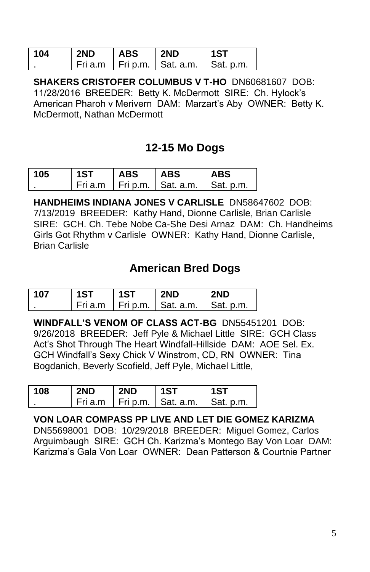| 104 | 2ND | <b>ABS</b> | 2ND                                                | 1ST       |
|-----|-----|------------|----------------------------------------------------|-----------|
|     |     |            | $\vert$ Fri a.m $\vert$ Fri p.m. $\vert$ Sat. a.m. | Sat. p.m. |

**SHAKERS CRISTOFER COLUMBUS V T-HO** DN60681607 DOB: 11/28/2016 BREEDER: Betty K. McDermott SIRE: Ch. Hylock's American Pharoh v Merivern DAM: Marzart's Aby OWNER: Betty K. McDermott, Nathan McDermott

## **12-15 Mo Dogs**

| 105 | 1ST | <b>ABS</b> | <b>ABS</b>                                 | ABS |
|-----|-----|------------|--------------------------------------------|-----|
|     |     |            | Fri a.m   Fri p.m.   Sat. a.m.   Sat. p.m. |     |

**HANDHEIMS INDIANA JONES V CARLISLE** DN58647602 DOB: 7/13/2019 BREEDER: Kathy Hand, Dionne Carlisle, Brian Carlisle SIRE: GCH. Ch. Tebe Nobe Ca-She Desi Arnaz DAM: Ch. Handheims Girls Got Rhythm v Carlisle OWNER: Kathy Hand, Dionne Carlisle, Brian Carlisle

## **American Bred Dogs**

| 107 | 1ST | 1ST | 2ND                                        | 2ND |
|-----|-----|-----|--------------------------------------------|-----|
|     |     |     | Fri a.m   Fri p.m.   Sat. a.m.   Sat. p.m. |     |

**WINDFALL'S VENOM OF CLASS ACT-BG** DN55451201 DOB: 9/26/2018 BREEDER: Jeff Pyle & Michael Little SIRE: GCH Class Act's Shot Through The Heart Windfall-Hillside DAM: AOE Sel. Ex. GCH Windfall's Sexy Chick V Winstrom, CD, RN OWNER: Tina Bogdanich, Beverly Scofield, Jeff Pyle, Michael Little,

| 108 | 2ND | 2ND | 1ST                            | 1ST       |
|-----|-----|-----|--------------------------------|-----------|
|     |     |     | Fri a.m   Fri p.m.   Sat. a.m. | Sat. p.m. |

#### **VON LOAR COMPASS PP LIVE AND LET DIE GOMEZ KARIZMA**

DN55698001 DOB: 10/29/2018 BREEDER: Miguel Gomez, Carlos Arguimbaugh SIRE: GCH Ch. Karizma's Montego Bay Von Loar DAM: Karizma's Gala Von Loar OWNER: Dean Patterson & Courtnie Partner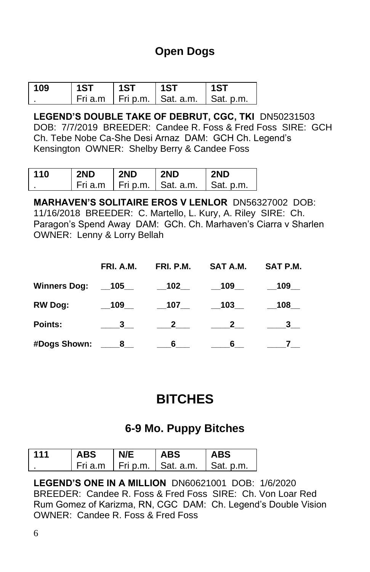## **Open Dogs**

| 109 | 1ST | 1ST | 1ST                                        | l 1ST |
|-----|-----|-----|--------------------------------------------|-------|
|     |     |     | Fri a.m   Fri p.m.   Sat. a.m.   Sat. p.m. |       |

**LEGEND'S DOUBLE TAKE OF DEBRUT, CGC, TKI** DN50231503 DOB: 7/7/2019 BREEDER: Candee R. Foss & Fred Foss SIRE: GCH Ch. Tebe Nobe Ca-She Desi Arnaz DAM: GCH Ch. Legend's Kensington OWNER: Shelby Berry & Candee Foss

| 110 | 2ND | 2ND | 2ND                              | 2ND       |
|-----|-----|-----|----------------------------------|-----------|
|     |     |     | l Fri a.m I Fri p.m. I Sat. a.m. | Sat. p.m. |

**MARHAVEN'S SOLITAIRE EROS V LENLOR** DN56327002 DOB: 11/16/2018 BREEDER: C. Martello, L. Kury, A. Riley SIRE: Ch. Paragon's Spend Away DAM: GCh. Ch. Marhaven's Ciarra v Sharlen OWNER: Lenny & Lorry Bellah

|                      | FRI. A.M.               |                                      | FRI. P.M. SAT A.M.      | SAT P.M.                |
|----------------------|-------------------------|--------------------------------------|-------------------------|-------------------------|
|                      |                         |                                      | $\_109$                 | 109                     |
| <b>RW Dog:</b>       | 109                     | 107                                  | 103                     | $\_108$ __              |
| Points:              | $\overline{\mathbf{3}}$ | $\overline{\phantom{a}2\phantom{a}}$ | $\overline{\mathbf{2}}$ | $\overline{\mathbf{3}}$ |
| #Dogs Shown: ____8__ |                         | $\overline{\phantom{a}}$ 6           | 6                       |                         |

# **BITCHES**

## **6-9 Mo. Puppy Bitches**

| 111 | ABS       | N/F | <b>ABS</b>                 | <b>ABS</b> |
|-----|-----------|-----|----------------------------|------------|
|     | . Fri a.m |     | Fri p.m. $\vert$ Sat. a.m. | Sat. p.m.  |

**LEGEND'S ONE IN A MILLION** DN60621001 DOB: 1/6/2020 BREEDER: Candee R. Foss & Fred Foss SIRE: Ch. Von Loar Red Rum Gomez of Karizma, RN, CGC DAM: Ch. Legend's Double Vision OWNER: Candee R. Foss & Fred Foss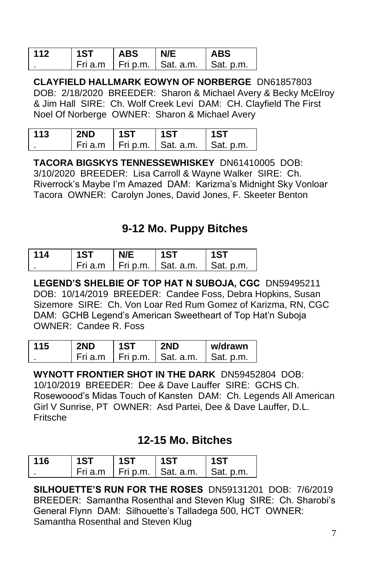| 112 | 1ST | <b>ABS</b> | N/E                                        | <b>ABS</b> |
|-----|-----|------------|--------------------------------------------|------------|
|     |     |            | Fri a.m   Fri p.m.   Sat. a.m.   Sat. p.m. |            |

**CLAYFIELD HALLMARK EOWYN OF NORBERGE** DN61857803 DOB: 2/18/2020 BREEDER: Sharon & Michael Avery & Becky McElroy & Jim Hall SIRE: Ch. Wolf Creek Levi DAM: CH. Clayfield The First Noel Of Norberge OWNER: Sharon & Michael Avery

| 113 | 2ND | 1ST | 1ST                            | 1.87             |
|-----|-----|-----|--------------------------------|------------------|
|     |     |     | Fri a.m   Fri p.m.   Sat. a.m. | $\mid$ Sat. p.m. |

**TACORA BIGSKYS TENNESSEWHISKEY** DN61410005 DOB: 3/10/2020 BREEDER: Lisa Carroll & Wayne Walker SIRE: Ch. Riverrock's Maybe I'm Amazed DAM: Karizma's Midnight Sky Vonloar Tacora OWNER: Carolyn Jones, David Jones, F. Skeeter Benton

## **9-12 Mo. Puppy Bitches**

| 114 | 1ST | N/E | 1ST                            | 1ST       |
|-----|-----|-----|--------------------------------|-----------|
|     |     |     | Fri a.m   Fri p.m.   Sat. a.m. | Sat. p.m. |

**LEGEND'S SHELBIE OF TOP HAT N SUBOJA, CGC** DN59495211 DOB: 10/14/2019 BREEDER: Candee Foss, Debra Hopkins, Susan Sizemore SIRE: Ch. Von Loar Red Rum Gomez of Karizma, RN, CGC DAM: GCHB Legend's American Sweetheart of Top Hat'n Suboja OWNER: Candee R. Foss

| 115 | 2ND       | 1ST | 2ND                    | w/drawn   |
|-----|-----------|-----|------------------------|-----------|
|     | . Fri a.m |     | I Fri p.m. I Sat. a.m. | Sat. p.m. |

**WYNOTT FRONTIER SHOT IN THE DARK** DN59452804 DOB: 10/10/2019 BREEDER: Dee & Dave Lauffer SIRE: GCHS Ch. Rosewoood's Midas Touch of Kansten DAM: Ch. Legends All American Girl V Sunrise, PT OWNER: Asd Partei, Dee & Dave Lauffer, D.L. Fritsche

## **12-15 Mo. Bitches**

| 116 | 1ST | 1ST | 1ST                            | 1ST       |
|-----|-----|-----|--------------------------------|-----------|
|     |     |     | Fri a.m   Fri p.m.   Sat. a.m. | Sat. p.m. |

**SILHOUETTE'S RUN FOR THE ROSES** DN59131201 DOB: 7/6/2019 BREEDER: Samantha Rosenthal and Steven Klug SIRE: Ch. Sharobi's General Flynn DAM: Silhouette's Talladega 500, HCT OWNER: Samantha Rosenthal and Steven Klug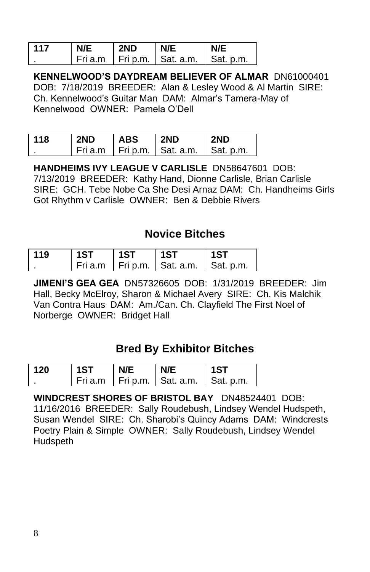| 117 | N/E | 2ND | N/E                            | N/F       |
|-----|-----|-----|--------------------------------|-----------|
|     |     |     | Fri a.m   Fri p.m.   Sat. a.m. | Sat. p.m. |

**KENNELWOOD'S DAYDREAM BELIEVER OF ALMAR** DN61000401 DOB: 7/18/2019 BREEDER: Alan & Lesley Wood & Al Martin SIRE: Ch. Kennelwood's Guitar Man DAM: Almar's Tamera-May of Kennelwood OWNER: Pamela O'Dell

| 118 | 2ND | <b>ABS</b> | 2ND                            | 2ND       |
|-----|-----|------------|--------------------------------|-----------|
|     |     |            | Fri a.m   Fri p.m.   Sat. a.m. | Sat. p.m. |

**HANDHEIMS IVY LEAGUE V CARLISLE** DN58647601 DOB: 7/13/2019 BREEDER: Kathy Hand, Dionne Carlisle, Brian Carlisle SIRE: GCH. Tebe Nobe Ca She Desi Arnaz DAM: Ch. Handheims Girls Got Rhythm v Carlisle OWNER: Ben & Debbie Rivers

## **Novice Bitches**

| 119 | 1ST | 1ST | 1ST                            | 1ST       |
|-----|-----|-----|--------------------------------|-----------|
|     |     |     | Fri a.m   Fri p.m.   Sat. a.m. | Sat. p.m. |

**JIMENI'S GEA GEA** DN57326605 DOB: 1/31/2019 BREEDER: Jim Hall, Becky McElroy, Sharon & Michael Avery SIRE: Ch. Kis Malchik Van Contra Haus DAM: Am./Can. Ch. Clayfield The First Noel of Norberge OWNER: Bridget Hall

## **Bred By Exhibitor Bitches**

| 120 | 1ST | N/F | N/F                            | 1ST              |
|-----|-----|-----|--------------------------------|------------------|
|     |     |     | Fri a.m   Fri p.m.   Sat. a.m. | $\mid$ Sat. p.m. |

**WINDCREST SHORES OF BRISTOL BAY** DN48524401 DOB: 11/16/2016 BREEDER: Sally Roudebush, Lindsey Wendel Hudspeth, Susan Wendel SIRE: Ch. Sharobi's Quincy Adams DAM: Windcrests Poetry Plain & Simple OWNER: Sally Roudebush, Lindsey Wendel Hudspeth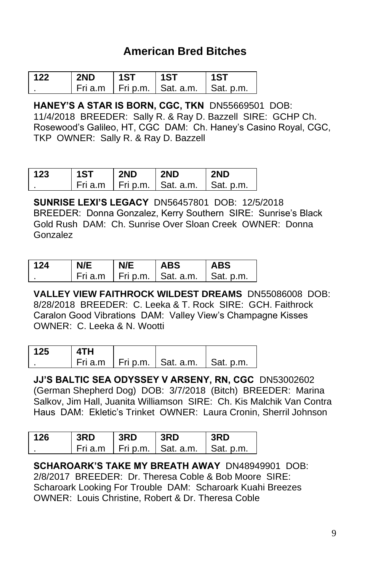## **American Bred Bitches**

| 122 | 2ND | 1ST | 1ST                            | 1ST       |
|-----|-----|-----|--------------------------------|-----------|
|     |     |     | Fri a.m I Fri p.m. I Sat. a.m. | Sat. p.m. |

**HANEY'S A STAR IS BORN, CGC, TKN** DN55669501 DOB: 11/4/2018 BREEDER: Sally R. & Ray D. Bazzell SIRE: GCHP Ch. Rosewood's Galileo, HT, CGC DAM: Ch. Haney's Casino Royal, CGC, TKP OWNER: Sally R. & Ray D. Bazzell

| 123 | 1ST | 2ND | 2ND                            | <b>2ND</b> |
|-----|-----|-----|--------------------------------|------------|
|     |     |     | Fri a.m   Fri p.m.   Sat. a.m. | Sat. p.m.  |

**SUNRISE LEXI'S LEGACY** DN56457801 DOB: 12/5/2018 BREEDER: Donna Gonzalez, Kerry Southern SIRE: Sunrise's Black Gold Rush DAM: Ch. Sunrise Over Sloan Creek OWNER: Donna Gonzalez

| 124 | NIF | <b>ABS</b>                     | <b>ABS</b>        |
|-----|-----|--------------------------------|-------------------|
|     |     | Fri a.m   Fri p.m.   Sat. a.m. | $\vert$ Sat. p.m. |

**VALLEY VIEW FAITHROCK WILDEST DREAMS** DN55086008 DOB: 8/28/2018 BREEDER: C. Leeka & T. Rock SIRE: GCH. Faithrock Caralon Good Vibrations DAM: Valley View's Champagne Kisses OWNER: C. Leeka & N. Wootti

| 125 | 4TH |                                            |  |
|-----|-----|--------------------------------------------|--|
|     |     | Fri a.m   Fri p.m.   Sat. a.m.   Sat. p.m. |  |

**JJ'S BALTIC SEA ODYSSEY V ARSENY, RN, CGC** DN53002602 (German Shepherd Dog) DOB: 3/7/2018 (Bitch) BREEDER: Marina Salkov, Jim Hall, Juanita Williamson SIRE: Ch. Kis Malchik Van Contra Haus DAM: Ekletic's Trinket OWNER: Laura Cronin, Sherril Johnson

| 126 | 3RD | 3RD | 3RD                                                  | 3RD |
|-----|-----|-----|------------------------------------------------------|-----|
|     |     |     | $ $ Fri a.m $ $ Fri p.m. $ $ Sat. a.m. $ $ Sat. p.m. |     |

**SCHAROARK'S TAKE MY BREATH AWAY** DN48949901 DOB: 2/8/2017 BREEDER: Dr. Theresa Coble & Bob Moore SIRE: Scharoark Looking For Trouble DAM: Scharoark Kuahi Breezes OWNER: Louis Christine, Robert & Dr. Theresa Coble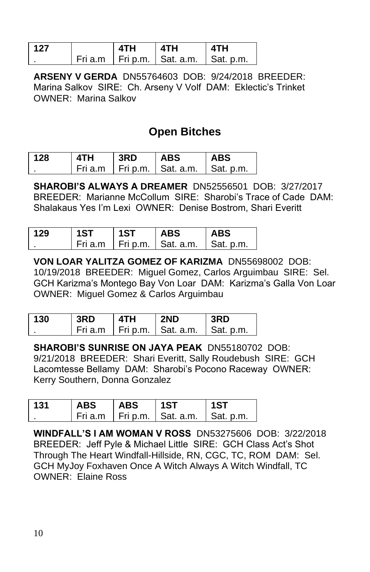| 127 | <b>ATH</b> | 4TH                                          | <b>ATH</b> |
|-----|------------|----------------------------------------------|------------|
|     |            | i Fri a.m İ Fri p.m.   Sat. a.m.   Sat. p.m. |            |

**ARSENY V GERDA** DN55764603 DOB: 9/24/2018 BREEDER: Marina Salkov SIRE: Ch. Arseny V Volf DAM: Eklectic's Trinket OWNER: Marina Salkov

## **Open Bitches**

| 128 | 4TH | 3RD | <b>ABS</b>                     | <b>ABS</b> |
|-----|-----|-----|--------------------------------|------------|
|     |     |     | Fri a.m I Fri p.m. I Sat. a.m. | Sat. p.m.  |

**SHAROBI'S ALWAYS A DREAMER** DN52556501 DOB: 3/27/2017 BREEDER: Marianne McCollum SIRE: Sharobi's Trace of Cade DAM: Shalakaus Yes I'm Lexi OWNER: Denise Bostrom, Shari Everitt

| 129 | 1ST | 1ST | <b>ABS</b>                     | <b>ABS</b> |
|-----|-----|-----|--------------------------------|------------|
|     |     |     | Fri a.m   Fri p.m.   Sat. a.m. | Sat. p.m.  |

**VON LOAR YALITZA GOMEZ OF KARIZMA** DN55698002 DOB: 10/19/2018 BREEDER: Miguel Gomez, Carlos Arguimbau SIRE: Sel. GCH Karizma's Montego Bay Von Loar DAM: Karizma's Galla Von Loar OWNER: Miguel Gomez & Carlos Arguimbau

| 130 | 3RD     | 4TH | 2ND                    | 3RD              |
|-----|---------|-----|------------------------|------------------|
|     | Fri a m |     | I Fri p.m. I Sat. a.m. | $\mid$ Sat. p.m. |

**SHAROBI'S SUNRISE ON JAYA PEAK** DN55180702 DOB: 9/21/2018 BREEDER: Shari Everitt, Sally Roudebush SIRE: GCH Lacomtesse Bellamy DAM: Sharobi's Pocono Raceway OWNER: Kerry Southern, Donna Gonzalez

| 131 | <b>ABS</b> | <b>ABS</b> | 1ST                                        | 1ST |
|-----|------------|------------|--------------------------------------------|-----|
|     |            |            | Fri a.m   Fri p.m.   Sat. a.m.   Sat. p.m. |     |

**WINDFALL'S I AM WOMAN V ROSS** DN53275606 DOB: 3/22/2018 BREEDER: Jeff Pyle & Michael Little SIRE: GCH Class Act's Shot Through The Heart Windfall-Hillside, RN, CGC, TC, ROM DAM: Sel. GCH MyJoy Foxhaven Once A Witch Always A Witch Windfall, TC OWNER: Elaine Ross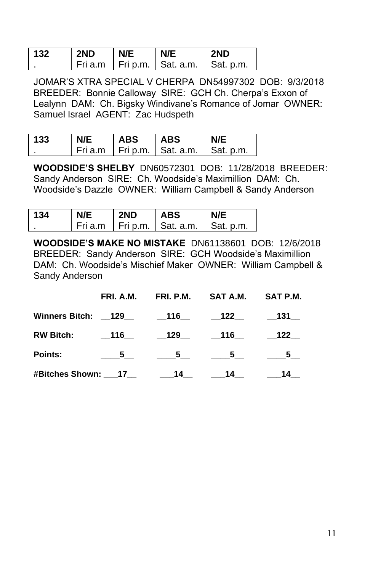| 132 | 2ND | N/E | N/E                        | 2ND       |
|-----|-----|-----|----------------------------|-----------|
|     |     |     | Fri a.m Fri p.m. Sat. a.m. | Sat. p.m. |

JOMAR'S XTRA SPECIAL V CHERPA DN54997302 DOB: 9/3/2018 BREEDER: Bonnie Calloway SIRE: GCH Ch. Cherpa's Exxon of Lealynn DAM: Ch. Bigsky Windivane's Romance of Jomar OWNER: Samuel Israel AGENT: Zac Hudspeth

| 133 | N/E | <b>ABS</b> | <b>ABS</b>                   | N/E       |
|-----|-----|------------|------------------------------|-----------|
|     |     |            | Fria.m   Frip.m.   Sat. a.m. | Sat. p.m. |

**WOODSIDE'S SHELBY** DN60572301 DOB: 11/28/2018 BREEDER: Sandy Anderson SIRE: Ch. Woodside's Maximillion DAM: Ch. Woodside's Dazzle OWNER: William Campbell & Sandy Anderson

| 134 | N/E | 2ND | <b>ABS</b>               | N/F              |
|-----|-----|-----|--------------------------|------------------|
|     |     |     | Fria.m Frip.m. Sat. a.m. | $\Box$ Sat. p.m. |

**WOODSIDE'S MAKE NO MISTAKE** DN61138601 DOB: 12/6/2018 BREEDER: Sandy Anderson SIRE: GCH Woodside's Maximillion DAM: Ch. Woodside's Mischief Maker OWNER: William Campbell & Sandy Anderson

|                                | FRI. A.M. | FRI. P.M.        SAT A.M.        SAT P.M.                                                                                                                                                                                                          |  |
|--------------------------------|-----------|----------------------------------------------------------------------------------------------------------------------------------------------------------------------------------------------------------------------------------------------------|--|
| Winners Bitch: 129 116 122 131 |           |                                                                                                                                                                                                                                                    |  |
| <b>RW Bitch:</b>               | 116       | $\_129$ $\_116$ $\_122$                                                                                                                                                                                                                            |  |
| <b>Points:</b>                 |           | $\underline{\hspace{1cm}} 5 \underline{\hspace{1cm}} 5 \underline{\hspace{1cm}} 5 \underline{\hspace{1cm}} 5 \underline{\hspace{1cm}} 5 \underline{\hspace{1cm}} 5 \underline{\hspace{1cm}} 5 \underline{\hspace{1cm}} 5 \underline{\hspace{1cm}}$ |  |
|                                |           |                                                                                                                                                                                                                                                    |  |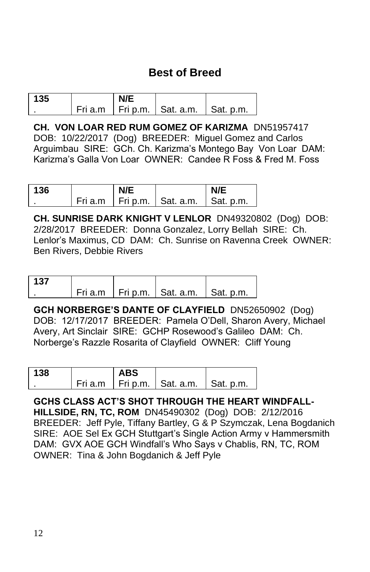## **Best of Breed**

| 135 |  |                                            |  |
|-----|--|--------------------------------------------|--|
|     |  | Fri a.m   Fri p.m.   Sat. a.m.   Sat. p.m. |  |

**CH. VON LOAR RED RUM GOMEZ OF KARIZMA** DN51957417 DOB: 10/22/2017 (Dog) BREEDER: Miguel Gomez and Carlos Arguimbau SIRE: GCh. Ch. Karizma's Montego Bay Von Loar DAM: Karizma's Galla Von Loar OWNER: Candee R Foss & Fred M. Foss

| 136 | N/E |                                | N/F       |
|-----|-----|--------------------------------|-----------|
|     |     | Fri a.m   Fri p.m.   Sat. a.m. | Sat. p.m. |

**CH. SUNRISE DARK KNIGHT V LENLOR** DN49320802 (Dog) DOB: 2/28/2017 BREEDER: Donna Gonzalez, Lorry Bellah SIRE: Ch. Lenlor's Maximus, CD DAM: Ch. Sunrise on Ravenna Creek OWNER: Ben Rivers, Debbie Rivers

| 137 |  |                                            |  |
|-----|--|--------------------------------------------|--|
|     |  | Fri a.m   Fri p.m.   Sat. a.m.   Sat. p.m. |  |

**GCH NORBERGE'S DANTE OF CLAYFIELD** DN52650902 (Dog) DOB: 12/17/2017 BREEDER: Pamela O'Dell, Sharon Avery, Michael Avery, Art Sinclair SIRE: GCHP Rosewood's Galileo DAM: Ch. Norberge's Razzle Rosarita of Clayfield OWNER: Cliff Young

| 138 | ABS |                                            |  |
|-----|-----|--------------------------------------------|--|
|     |     | Fri a.m   Fri p.m.   Sat. a.m.   Sat. p.m. |  |

**GCHS CLASS ACT'S SHOT THROUGH THE HEART WINDFALL-HILLSIDE, RN, TC, ROM** DN45490302 (Dog) DOB: 2/12/2016 BREEDER: Jeff Pyle, Tiffany Bartley, G & P Szymczak, Lena Bogdanich SIRE: AOE Sel Ex GCH Stuttgart's Single Action Army v Hammersmith DAM: GVX AOE GCH Windfall's Who Says v Chablis, RN, TC, ROM OWNER: Tina & John Bogdanich & Jeff Pyle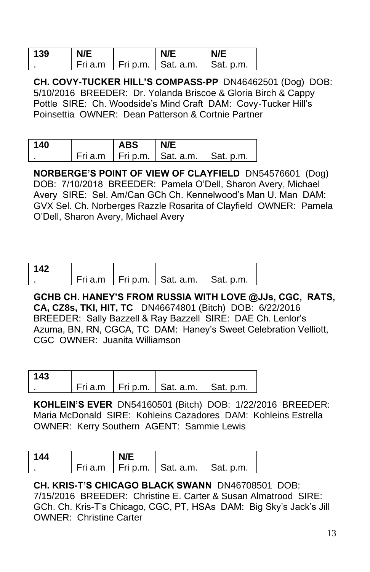| 139 | N/E | N/E                            | N/E       |
|-----|-----|--------------------------------|-----------|
|     |     | Fri a.m   Fri p.m.   Sat. a.m. | Sat. p.m. |

**CH. COVY-TUCKER HILL'S COMPASS-PP** DN46462501 (Dog) DOB: 5/10/2016 BREEDER: Dr. Yolanda Briscoe & Gloria Birch & Cappy Pottle SIRE: Ch. Woodside's Mind Craft DAM: Covy-Tucker Hill's Poinsettia OWNER: Dean Patterson & Cortnie Partner

| 140 | <b>ABS</b> | N/E                                        |  |
|-----|------------|--------------------------------------------|--|
|     |            | Fri a.m   Fri p.m.   Sat. a.m.   Sat. p.m. |  |

**NORBERGE'S POINT OF VIEW OF CLAYFIELD** DN54576601 (Dog) DOB: 7/10/2018 BREEDER: Pamela O'Dell, Sharon Avery, Michael Avery SIRE: Sel. Am/Can GCh Ch. Kennelwood's Man U. Man DAM: GVX Sel. Ch. Norberges Razzle Rosarita of Clayfield OWNER: Pamela O'Dell, Sharon Avery, Michael Avery

| 142 |  |                                            |  |
|-----|--|--------------------------------------------|--|
|     |  | Fri a.m   Fri p.m.   Sat. a.m.   Sat. p.m. |  |

**GCHB CH. HANEY'S FROM RUSSIA WITH LOVE @JJs, CGC, RATS, CA, CZ8s, TKI, HIT, TC** DN46674801 (Bitch) DOB: 6/22/2016 BREEDER: Sally Bazzell & Ray Bazzell SIRE: DAE Ch. Lenlor's Azuma, BN, RN, CGCA, TC DAM: Haney's Sweet Celebration Velliott, CGC OWNER: Juanita Williamson

| 143 |  |                                            |  |
|-----|--|--------------------------------------------|--|
|     |  | Fri a.m   Fri p.m.   Sat. a.m.   Sat. p.m. |  |

**KOHLEIN'S EVER** DN54160501 (Bitch) DOB: 1/22/2016 BREEDER: Maria McDonald SIRE: Kohleins Cazadores DAM: Kohleins Estrella OWNER: Kerry Southern AGENT: Sammie Lewis

| 144 |  |                                            |  |
|-----|--|--------------------------------------------|--|
|     |  | Fri a.m   Fri p.m.   Sat. a.m.   Sat. p.m. |  |

**CH. KRIS-T'S CHICAGO BLACK SWANN** DN46708501 DOB: 7/15/2016 BREEDER: Christine E. Carter & Susan Almatrood SIRE: GCh. Ch. Kris-T's Chicago, CGC, PT, HSAs DAM: Big Sky's Jack's Jill OWNER: Christine Carter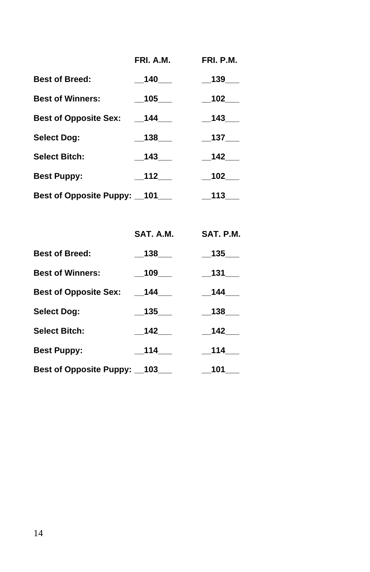|                              | FRI. A.M. | FRI. P.M.    |  |
|------------------------------|-----------|--------------|--|
| <b>Best of Breed:</b>        | 140       | 139          |  |
| <b>Best of Winners:</b>      | 105       | 102          |  |
| <b>Best of Opposite Sex:</b> | 144       | 143          |  |
| <b>Select Dog:</b>           | 138       | $\_137$ $\_$ |  |
| <b>Select Bitch:</b>         | 143       | 142          |  |
| <b>Best Puppy:</b>           | 112       | 102          |  |
| Best of Opposite Puppy: 101  |           | 113          |  |

|                             | SAT. A.M. | SAT. P.M.     |
|-----------------------------|-----------|---------------|
| <b>Best of Breed:</b>       | 138       | $\_$ 135 $\_$ |
| <b>Best of Winners:</b>     | 109       | $\_131$ $\_$  |
| Best of Opposite Sex:       | 144       | $-144$        |
| Select Dog:                 | 135       | 138           |
| <b>Select Bitch:</b>        | 142       | 142           |
| <b>Best Puppy:</b>          | 114       | $-114$        |
| Best of Opposite Puppy: 103 |           | 101           |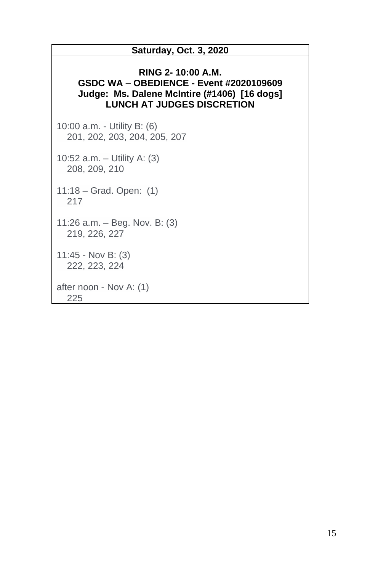#### **Saturday, Oct. 3, 2020**

#### **RING 2- 10:00 A.M. GSDC WA – OBEDIENCE - Event #2020109609 Judge: Ms. Dalene McIntire (#1406) [16 dogs] LUNCH AT JUDGES DISCRETION**

10:00 a.m. - Utility B: (6) 201, 202, 203, 204, 205, 207

10:52 a.m. – Utility A: (3) 208, 209, 210

11:18 – Grad. Open: (1) 217

11:26 a.m. – Beg. Nov. B: (3) 219, 226, 227

11:45 - Nov B: (3) 222, 223, 224

after noon - Nov A: (1) 225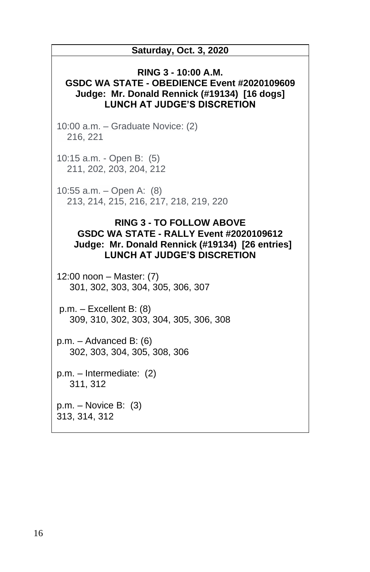| <b>Saturday, Oct. 3, 2020</b>                                                                                                                                       |  |  |  |  |  |
|---------------------------------------------------------------------------------------------------------------------------------------------------------------------|--|--|--|--|--|
| RING 3 - 10:00 A.M.<br>GSDC WA STATE - OBEDIENCE Event #2020109609<br>Judge: Mr. Donald Rennick (#19134) [16 dogs]<br><b>LUNCH AT JUDGE'S DISCRETION</b>            |  |  |  |  |  |
| 10:00 a.m. - Graduate Novice: (2)<br>216, 221                                                                                                                       |  |  |  |  |  |
| 10:15 a.m. - Open B: (5)<br>211, 202, 203, 204, 212                                                                                                                 |  |  |  |  |  |
| 10:55 a.m. - Open A: $(8)$<br>213, 214, 215, 216, 217, 218, 219, 220                                                                                                |  |  |  |  |  |
| <b>RING 3 - TO FOLLOW ABOVE</b><br>GSDC WA STATE - RALLY Event #2020109612<br>Judge: Mr. Donald Rennick (#19134) [26 entries]<br><b>LUNCH AT JUDGE'S DISCRETION</b> |  |  |  |  |  |
| 12:00 noon - Master: (7)<br>301, 302, 303, 304, 305, 306, 307                                                                                                       |  |  |  |  |  |
| $p.m. - Excellent B: (8)$<br>309, 310, 302, 303, 304, 305, 306, 308                                                                                                 |  |  |  |  |  |
| $p.m. - Advanced B: (6)$<br>302, 303, 304, 305, 308, 306                                                                                                            |  |  |  |  |  |
| p.m. - Intermediate: (2)<br>311, 312                                                                                                                                |  |  |  |  |  |
| $p.m. - Novice B: (3)$<br>313, 314, 312                                                                                                                             |  |  |  |  |  |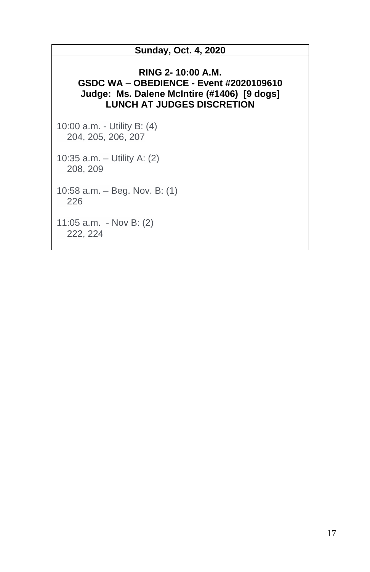#### **Sunday, Oct. 4, 2020**

#### **RING 2- 10:00 A.M. GSDC WA – OBEDIENCE - Event #2020109610 Judge: Ms. Dalene McIntire (#1406) [9 dogs] LUNCH AT JUDGES DISCRETION**

10:00 a.m. - Utility B: (4) 204, 205, 206, 207

10:35 a.m. – Utility A: (2) 208, 209

10:58 a.m. – Beg. Nov. B: (1) 226

11:05 a.m. - Nov B: (2) 222, 224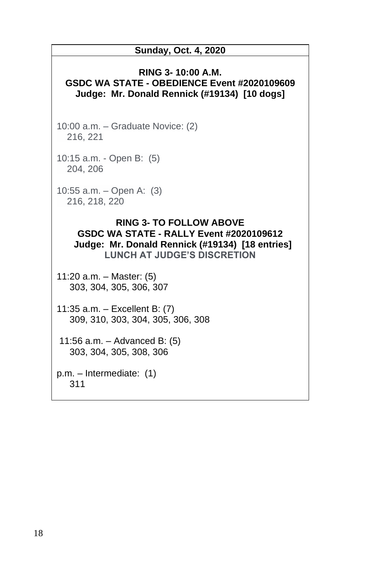# **Sunday, Oct. 4, 2020 RING 3- 10:00 A.M. GSDC WA STATE - OBEDIENCE Event #2020109609 Judge: Mr. Donald Rennick (#19134) [10 dogs]** 10:00 a.m. – Graduate Novice: (2) 216, 221 10:15 a.m. - Open B: (5) 204, 206 10:55 a.m. – Open A: (3) 216, 218, 220 **RING 3- TO FOLLOW ABOVE GSDC WA STATE - RALLY Event #2020109612 Judge: Mr. Donald Rennick (#19134) [18 entries] LUNCH AT JUDGE'S DISCRETION** 11:20 a.m. – Master: (5) 303, 304, 305, 306, 307 11:35 a.m. – Excellent B: (7) 309, 310, 303, 304, 305, 306, 308

11:56 a.m. – Advanced B: (5) 303, 304, 305, 308, 306

p.m. – Intermediate: (1) 311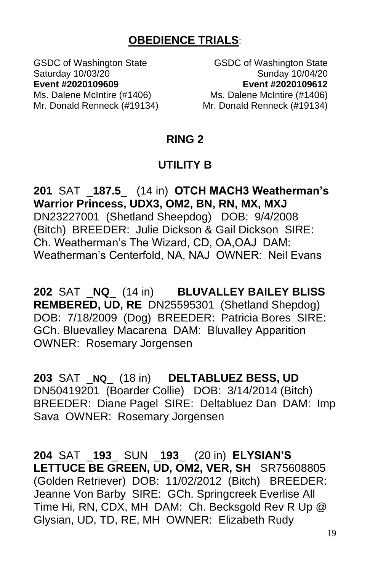## **OBEDIENCE TRIALS**:

Ms. Dalene McIntire (#1406) Ms. Dalene McIntire (#1406)

GSDC of Washington State GSDC of Washington State Saturday 10/03/20 Sunday 10/04/20 **Event #2020109609 Event #2020109612**

Mr. Donald Renneck (#19134) Mr. Donald Renneck (#19134)

#### **RING 2**

### **UTILITY B**

**201** SAT \_**187.5**\_ (14 in) **OTCH MACH3 Weatherman's Warrior Princess, UDX3, OM2, BN, RN, MX, MXJ** DN23227001 (Shetland Sheepdog) DOB: 9/4/2008 (Bitch) BREEDER: Julie Dickson & Gail Dickson SIRE: Ch. Weatherman's The Wizard, CD, OA,OAJ DAM: Weatherman's Centerfold, NA, NAJ OWNER: Neil Evans

**202** SAT \_**NQ**\_ (14 in) **BLUVALLEY BAILEY BLISS REMBERED, UD, RE** DN25595301 (Shetland Shepdog) DOB: 7/18/2009 (Dog) BREEDER: Patricia Bores SIRE: GCh. Bluevalley Macarena DAM: Bluvalley Apparition OWNER: Rosemary Jorgensen

**203** SAT \_**NQ**\_ (18 in) **DELTABLUEZ BESS, UD** DN50419201 (Boarder Collie) DOB: 3/14/2014 (Bitch) BREEDER: Diane Pagel SIRE: Deltabluez Dan DAM: Imp Sava OWNER: Rosemary Jorgensen

**204** SAT \_**193**\_ SUN \_**193**\_ (20 in) **ELYSIAN'S LETTUCE BE GREEN, UD, OM2, VER, SH** SR75608805 (Golden Retriever) DOB: 11/02/2012 (Bitch) BREEDER: Jeanne Von Barby SIRE: GCh. Springcreek Everlise All Time Hi, RN, CDX, MH DAM: Ch. Becksgold Rev R Up @ Glysian, UD, TD, RE, MH OWNER: Elizabeth Rudy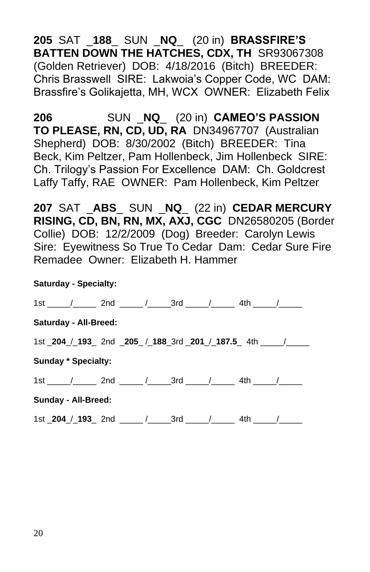**205** SAT \_**188**\_ SUN \_**NQ**\_ (20 in) **BRASSFIRE'S BATTEN DOWN THE HATCHES, CDX, TH** SR93067308 (Golden Retriever) DOB: 4/18/2016 (Bitch) BREEDER: Chris Brasswell SIRE: Lakwoia's Copper Code, WC DAM: Brassfire's Golikajetta, MH, WCX OWNER: Elizabeth Felix

**206** SUN \_**NQ**\_ (20 in) **CAMEO'S PASSION TO PLEASE, RN, CD, UD, RA** DN34967707 (Australian Shepherd) DOB: 8/30/2002 (Bitch) BREEDER: Tina Beck, Kim Peltzer, Pam Hollenbeck, Jim Hollenbeck SIRE: Ch. Trilogy's Passion For Excellence DAM: Ch. Goldcrest Laffy Taffy, RAE OWNER: Pam Hollenbeck, Kim Peltzer

**207** SAT \_**ABS**\_ SUN \_**NQ**\_ (22 in) **CEDAR MERCURY RISING, CD, BN, RN, MX, AXJ, CGC** DN26580205 (Border Collie) DOB: 12/2/2009 (Dog) Breeder: Carolyn Lewis Sire: Eyewitness So True To Cedar Dam: Cedar Sure Fire Remadee Owner: Elizabeth H. Hammer

| <b>Saturday - Specialty:</b> |                                                                           |  |  |  |  |  |  |  |  |
|------------------------------|---------------------------------------------------------------------------|--|--|--|--|--|--|--|--|
|                              |                                                                           |  |  |  |  |  |  |  |  |
| Saturday - All-Breed:        |                                                                           |  |  |  |  |  |  |  |  |
|                              | 1st _204_/_193_ 2nd _205_ /_188_3rd _201_/_187.5_ 4th _____/______        |  |  |  |  |  |  |  |  |
| <b>Sunday * Specialty:</b>   |                                                                           |  |  |  |  |  |  |  |  |
|                              | 1st _____/_______ 2nd ______/_______3rd ______/________ 4th ______/______ |  |  |  |  |  |  |  |  |
| Sunday - All-Breed:          |                                                                           |  |  |  |  |  |  |  |  |
|                              | 1st _204_/_193_ 2nd _____ /______3rd _____ /_______ 4th _____ /______     |  |  |  |  |  |  |  |  |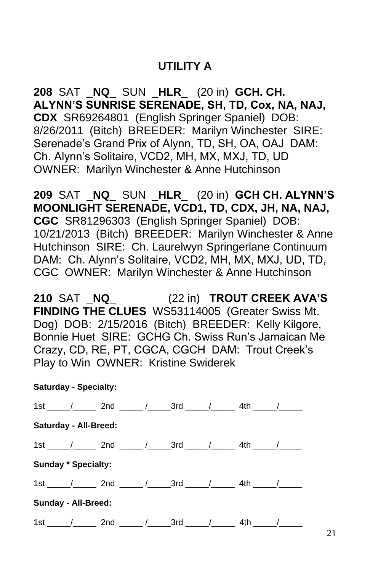## **UTILITY A**

**208** SAT \_**NQ**\_ SUN \_**HLR**\_ (20 in) **GCH. CH. ALYNN'S SUNRISE SERENADE, SH, TD, Cox, NA, NAJ, CDX** SR69264801 (English Springer Spaniel) DOB: 8/26/2011 (Bitch) BREEDER: Marilyn Winchester SIRE: Serenade's Grand Prix of Alynn, TD, SH, OA, OAJ DAM: Ch. Alynn's Solitaire, VCD2, MH, MX, MXJ, TD, UD OWNER: Marilyn Winchester & Anne Hutchinson

**209** SAT \_**NQ**\_ SUN \_**HLR**\_ (20 in) **GCH CH. ALYNN'S MOONLIGHT SERENADE, VCD1, TD, CDX, JH, NA, NAJ, CGC** SR81296303 (English Springer Spaniel) DOB: 10/21/2013 (Bitch) BREEDER: Marilyn Winchester & Anne Hutchinson SIRE: Ch. Laurelwyn Springerlane Continuum DAM: Ch. Alynn's Solitaire, VCD2, MH, MX, MXJ, UD, TD, CGC OWNER: Marilyn Winchester & Anne Hutchinson

**210** SAT \_**NQ**\_ (22 in) **TROUT CREEK AVA'S FINDING THE CLUES** WS53114005 (Greater Swiss Mt. Dog) DOB: 2/15/2016 (Bitch) BREEDER: Kelly Kilgore, Bonnie Huet SIRE: GCHG Ch. Swiss Run's Jamaican Me Crazy, CD, RE, PT, CGCA, CGCH DAM: Trout Creek's Play to Win OWNER: Kristine Swiderek

#### **Saturday - Specialty:**

|                              |                            | 1st $\frac{1}{2}$ 2nd $\frac{1}{2}$ 3rd $\frac{1}{2}$ 4th $\frac{1}{2}$ |  |  |  |  |  |  |  |  |
|------------------------------|----------------------------|-------------------------------------------------------------------------|--|--|--|--|--|--|--|--|
| <b>Saturday - All-Breed:</b> |                            |                                                                         |  |  |  |  |  |  |  |  |
|                              |                            | 1st / 2nd / 3rd / 4th /                                                 |  |  |  |  |  |  |  |  |
|                              | <b>Sunday * Specialty:</b> |                                                                         |  |  |  |  |  |  |  |  |
|                              |                            | $1st$ $/$ $/$ 2nd $/$ $/$ 3rd $/$ $/$ 4th $/$                           |  |  |  |  |  |  |  |  |
| <b>Sunday - All-Breed:</b>   |                            |                                                                         |  |  |  |  |  |  |  |  |
|                              |                            | 1st / 2nd / 3rd / 4th                                                   |  |  |  |  |  |  |  |  |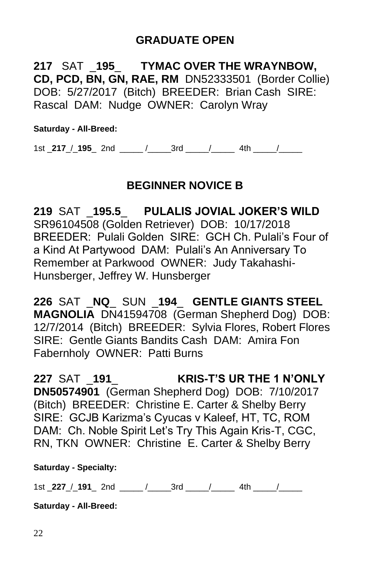## **GRADUATE OPEN**

**217** SAT \_**195**\_ **TYMAC OVER THE WRAYNBOW, CD, PCD, BN, GN, RAE, RM** DN52333501 (Border Collie) DOB: 5/27/2017 (Bitch) BREEDER: Brian Cash SIRE: Rascal DAM: Nudge OWNER: Carolyn Wray

**Saturday - All-Breed:**

1st \_**217**\_/\_**195**\_ 2nd \_\_\_\_\_ /\_\_\_\_\_3rd \_\_\_\_\_/\_\_\_\_\_ 4th \_\_\_\_\_/\_\_\_\_\_

## **BEGINNER NOVICE B**

**219** SAT \_**195.5**\_ **PULALIS JOVIAL JOKER'S WILD** SR96104508 (Golden Retriever) DOB: 10/17/2018 BREEDER: Pulali Golden SIRE: GCH Ch. Pulali's Four of a Kind At Partywood DAM: Pulali's An Anniversary To Remember at Parkwood OWNER: Judy Takahashi-Hunsberger, Jeffrey W. Hunsberger

**226** SAT \_**NQ**\_ SUN \_**194**\_ **GENTLE GIANTS STEEL MAGNOLIA** DN41594708 (German Shepherd Dog) DOB: 12/7/2014 (Bitch) BREEDER: Sylvia Flores, Robert Flores SIRE: Gentle Giants Bandits Cash DAM: Amira Fon Fabernholy OWNER: Patti Burns

**227** SAT \_**191**\_ **KRIS-T'S UR THE 1 N'ONLY DN50574901** (German Shepherd Dog) DOB: 7/10/2017 (Bitch) BREEDER: Christine E. Carter & Shelby Berry SIRE: GCJB Karizma's Cyucas v Kaleef, HT, TC, ROM DAM: Ch. Noble Spirit Let's Try This Again Kris-T, CGC, RN, TKN OWNER: Christine E. Carter & Shelby Berry

**Saturday - Specialty:**

1st \_**227**\_/\_**191**\_ 2nd \_\_\_\_\_ /\_\_\_\_\_3rd \_\_\_\_\_/\_\_\_\_\_ 4th \_\_\_\_\_/\_\_\_\_\_

**Saturday - All-Breed:**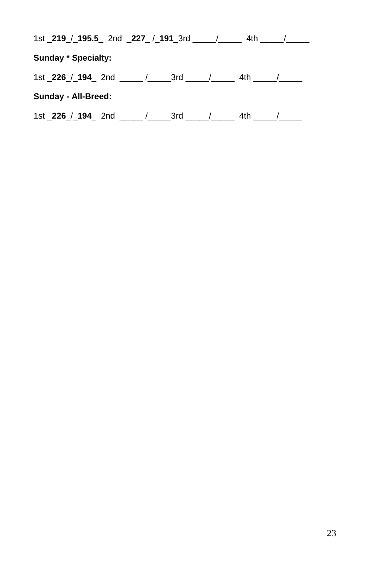| 1st _219_/_195.5_ 2nd _227_/_191_3rd _____/_____  |  | 4th   |  |
|---------------------------------------------------|--|-------|--|
| <b>Sunday * Specialty:</b>                        |  |       |  |
| 1st _226_/_194_ 2nd ______/______3rd _____/______ |  | 4th a |  |
| Sunday - All-Breed:                               |  |       |  |
| 1st _226_/_194_ 2nd _____ /______3rd _____ /_____ |  | 4th   |  |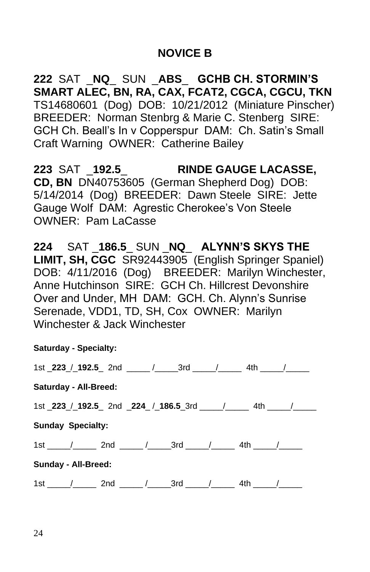## **NOVICE B**

**222** SAT \_**NQ**\_ SUN \_**ABS**\_ **GCHB CH. STORMIN'S SMART ALEC, BN, RA, CAX, FCAT2, CGCA, CGCU, TKN** TS14680601 (Dog) DOB: 10/21/2012 (Miniature Pinscher) BREEDER: Norman Stenbrg & Marie C. Stenberg SIRE: GCH Ch. Beall's In v Copperspur DAM: Ch. Satin's Small Craft Warning OWNER: Catherine Bailey

**223** SAT \_**192.5**\_ **RINDE GAUGE LACASSE, CD, BN** DN40753605 (German Shepherd Dog) DOB: 5/14/2014 (Dog) BREEDER: Dawn Steele SIRE: Jette Gauge Wolf DAM: Agrestic Cherokee's Von Steele OWNER: Pam LaCasse

**224** SAT \_**186.5**\_ SUN \_**NQ**\_ **ALYNN'S SKYS THE LIMIT, SH, CGC** SR92443905 (English Springer Spaniel) DOB: 4/11/2016 (Dog) BREEDER: Marilyn Winchester, Anne Hutchinson SIRE: GCH Ch. Hillcrest Devonshire Over and Under, MH DAM: GCH. Ch. Alynn's Sunrise Serenade, VDD1, TD, SH, Cox OWNER: Marilyn Winchester & Jack Winchester

|                                                                         | <b>Saturday - Specialty:</b>                                              |  |  |  |  |  |  |  |  |
|-------------------------------------------------------------------------|---------------------------------------------------------------------------|--|--|--|--|--|--|--|--|
|                                                                         | 1st _223_/_192.5_ 2nd _____ /______3rd _____ / _______ 4th _____ /______  |  |  |  |  |  |  |  |  |
| <b>Saturday - All-Breed:</b>                                            |                                                                           |  |  |  |  |  |  |  |  |
| 1st _223_/_192.5_ 2nd _224_ /_186.5_3rd _____ /_______ 4th _____ /_____ |                                                                           |  |  |  |  |  |  |  |  |
| <b>Sunday Specialty:</b>                                                |                                                                           |  |  |  |  |  |  |  |  |
|                                                                         | 1st / 2nd / 3rd / 4th /                                                   |  |  |  |  |  |  |  |  |
| Sunday - All-Breed:                                                     |                                                                           |  |  |  |  |  |  |  |  |
|                                                                         | 1st _____/_______ 2nd ______/_______3rd ______/________ 4th ______/______ |  |  |  |  |  |  |  |  |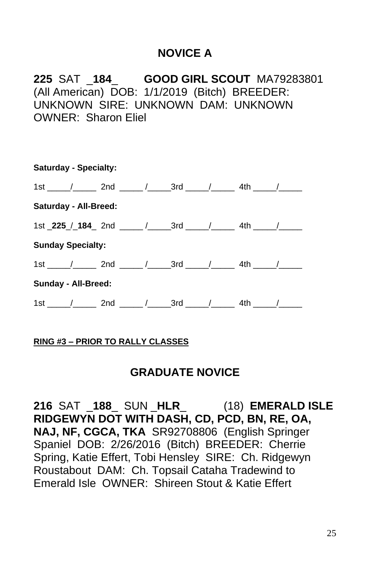## **NOVICE A**

**225** SAT \_**184**\_ **GOOD GIRL SCOUT** MA79283801 (All American) DOB: 1/1/2019 (Bitch) BREEDER: UNKNOWN SIRE: UNKNOWN DAM: UNKNOWN OWNER: Sharon Eliel

| <b>Saturday - Specialty:</b>                                                  |  |  |  |  |  |  |  |  |  |
|-------------------------------------------------------------------------------|--|--|--|--|--|--|--|--|--|
| $1st$ $\frac{1}{2}$ 2nd $\frac{1}{2}$ 3rd $\frac{1}{2}$ 4th $\frac{1}{2}$     |  |  |  |  |  |  |  |  |  |
| <b>Saturday - All-Breed:</b>                                                  |  |  |  |  |  |  |  |  |  |
| 1st _225 / 184 2nd _____ / ______ 3rd _____ / _______ 4th _____ / ______      |  |  |  |  |  |  |  |  |  |
| <b>Sunday Specialty:</b>                                                      |  |  |  |  |  |  |  |  |  |
| 1st ______/_______ 2nd _______/_______3rd ______/_________ 4th ______/_______ |  |  |  |  |  |  |  |  |  |
| Sunday - All-Breed:                                                           |  |  |  |  |  |  |  |  |  |
| 1st _____/_______ 2nd ______/_______3rd _____/________ 4th _____/_______      |  |  |  |  |  |  |  |  |  |

#### **RING #3 – PRIOR TO RALLY CLASSES**

#### **GRADUATE NOVICE**

**216** SAT \_**188**\_ SUN \_**HLR**\_ (18) **EMERALD ISLE RIDGEWYN DOT WITH DASH, CD, PCD, BN, RE, OA, NAJ, NF, CGCA, TKA** SR92708806 (English Springer Spaniel DOB: 2/26/2016 (Bitch) BREEDER: Cherrie Spring, Katie Effert, Tobi Hensley SIRE: Ch. Ridgewyn Roustabout DAM: Ch. Topsail Cataha Tradewind to Emerald Isle OWNER: Shireen Stout & Katie Effert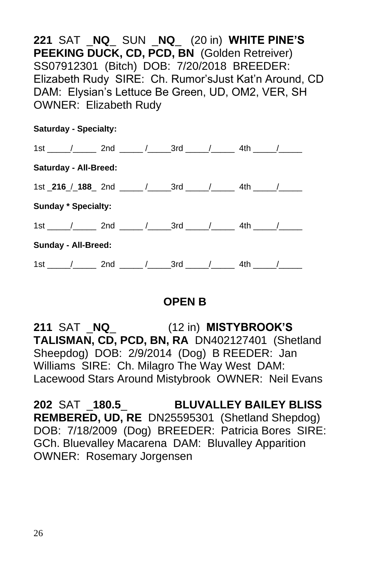**221** SAT \_**NQ**\_ SUN \_**NQ**\_ (20 in) **WHITE PINE'S PEEKING DUCK, CD, PCD, BN** (Golden Retreiver) SS07912301 (Bitch) DOB: 7/20/2018 BREEDER: Elizabeth Rudy SIRE: Ch. Rumor'sJust Kat'n Around, CD DAM: Elysian's Lettuce Be Green, UD, OM2, VER, SH OWNER: Elizabeth Rudy

| <b>Saturday - Specialty:</b> |  |                                                                                 |  |  |  |  |  |  |  |
|------------------------------|--|---------------------------------------------------------------------------------|--|--|--|--|--|--|--|
|                              |  | 1st / 2nd / 3rd / 4th /                                                         |  |  |  |  |  |  |  |
| <b>Saturday - All-Breed:</b> |  |                                                                                 |  |  |  |  |  |  |  |
|                              |  | 1st _216 / _188 _ 2nd _____ / ______ 3rd _____ / _______ 4th _____ / ______     |  |  |  |  |  |  |  |
| <b>Sunday * Specialty:</b>   |  |                                                                                 |  |  |  |  |  |  |  |
|                              |  | 1st ______/_______ 2nd _______/________3rd ______/__________ 4th ______/_______ |  |  |  |  |  |  |  |
| Sunday - All-Breed:          |  |                                                                                 |  |  |  |  |  |  |  |
|                              |  | 1st / 2nd / 3rd / 4th /                                                         |  |  |  |  |  |  |  |

## **OPEN B**

**211** SAT \_**NQ**\_ (12 in) **MISTYBROOK'S TALISMAN, CD, PCD, BN, RA** DN402127401 (Shetland Sheepdog) DOB: 2/9/2014 (Dog) B REEDER: Jan Williams SIRE: Ch. Milagro The Way West DAM: Lacewood Stars Around Mistybrook OWNER: Neil Evans

**202** SAT \_**180.5**\_ **BLUVALLEY BAILEY BLISS REMBERED, UD, RE** DN25595301 (Shetland Shepdog) DOB: 7/18/2009 (Dog) BREEDER: Patricia Bores SIRE: GCh. Bluevalley Macarena DAM: Bluvalley Apparition OWNER: Rosemary Jorgensen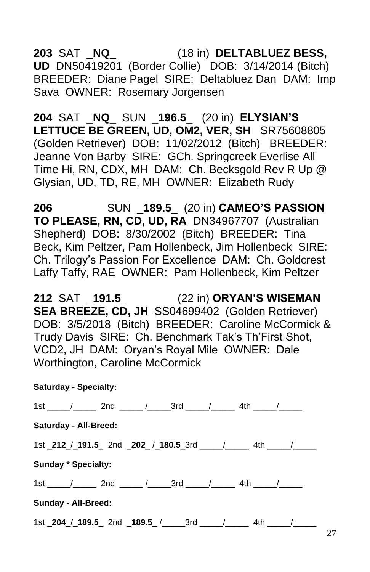## **203** SAT \_**NQ**\_ (18 in) **DELTABLUEZ BESS, UD** DN50419201 (Border Collie) DOB: 3/14/2014 (Bitch) BREEDER: Diane Pagel SIRE: Deltabluez Dan DAM: Imp Sava OWNER: Rosemary Jorgensen

**204** SAT \_**NQ**\_ SUN \_**196.5**\_ (20 in) **ELYSIAN'S LETTUCE BE GREEN, UD, OM2, VER, SH** SR75608805 (Golden Retriever) DOB: 11/02/2012 (Bitch) BREEDER: Jeanne Von Barby SIRE: GCh. Springcreek Everlise All Time Hi, RN, CDX, MH DAM: Ch. Becksgold Rev R Up @ Glysian, UD, TD, RE, MH OWNER: Elizabeth Rudy

**206** SUN \_**189.5**\_ (20 in) **CAMEO'S PASSION TO PLEASE, RN, CD, UD, RA** DN34967707 (Australian Shepherd) DOB: 8/30/2002 (Bitch) BREEDER: Tina Beck, Kim Peltzer, Pam Hollenbeck, Jim Hollenbeck SIRE: Ch. Trilogy's Passion For Excellence DAM: Ch. Goldcrest Laffy Taffy, RAE OWNER: Pam Hollenbeck, Kim Peltzer

**212** SAT \_**191.5**\_ (22 in) **ORYAN'S WISEMAN SEA BREEZE, CD, JH** SS04699402 (Golden Retriever) DOB: 3/5/2018 (Bitch) BREEDER: Caroline McCormick & Trudy Davis SIRE: Ch. Benchmark Tak's Th'First Shot, VCD2, JH DAM: Oryan's Royal Mile OWNER: Dale Worthington, Caroline McCormick

|  |  | <b>Saturday - Specialty:</b> |
|--|--|------------------------------|
|--|--|------------------------------|

|                                                                             |                     | 1st / 2nd / 3rd / 4th / |  |  |  |  |                                                              |  |
|-----------------------------------------------------------------------------|---------------------|-------------------------|--|--|--|--|--------------------------------------------------------------|--|
| <b>Saturday - All-Breed:</b>                                                |                     |                         |  |  |  |  |                                                              |  |
| 1st _212 / _191.5 _ 2nd _202 / _180.5 _3rd _____ / ______ 4th _____ / _____ |                     |                         |  |  |  |  |                                                              |  |
|                                                                             | Sunday * Specialty: |                         |  |  |  |  |                                                              |  |
|                                                                             |                     | 1st / 2nd / 3rd / 4th / |  |  |  |  |                                                              |  |
| Sunday - All-Breed:                                                         |                     |                         |  |  |  |  |                                                              |  |
|                                                                             |                     |                         |  |  |  |  | 1st <b>204</b> / <b>189.5</b> 2nd <b>189.5</b> / 3rd / 4th / |  |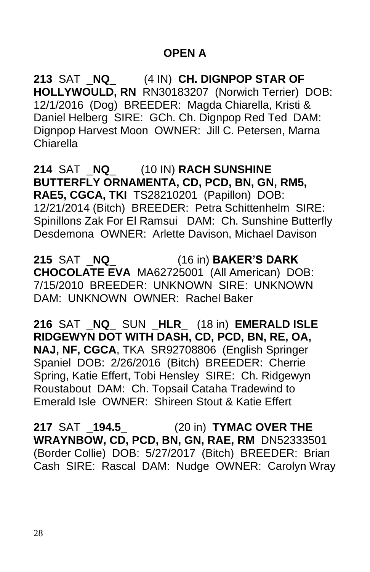## **OPEN A**

**213** SAT \_**NQ**\_ (4 IN) **CH. DIGNPOP STAR OF HOLLYWOULD, RN** RN30183207 (Norwich Terrier) DOB: 12/1/2016 (Dog) BREEDER: Magda Chiarella, Kristi & Daniel Helberg SIRE: GCh. Ch. Dignpop Red Ted DAM: Dignpop Harvest Moon OWNER: Jill C. Petersen, Marna Chiarella

**214** SAT \_**NQ**\_ (10 IN) **RACH SUNSHINE BUTTERFLY ORNAMENTA, CD, PCD, BN, GN, RM5, RAE5, CGCA, TKI** TS28210201 (Papillon) DOB: 12/21/2014 (Bitch) BREEDER: Petra Schittenhelm SIRE: Spinillons Zak For El Ramsui DAM: Ch. Sunshine Butterfly Desdemona OWNER: Arlette Davison, Michael Davison

**215** SAT \_**NQ**\_ (16 in) **BAKER'S DARK CHOCOLATE EVA** MA62725001 (All American) DOB: 7/15/2010 BREEDER: UNKNOWN SIRE: UNKNOWN DAM: UNKNOWN OWNER: Rachel Baker

**216** SAT \_**NQ**\_ SUN \_**HLR**\_ (18 in) **EMERALD ISLE RIDGEWYN DOT WITH DASH, CD, PCD, BN, RE, OA, NAJ, NF, CGCA**, TKA SR92708806 (English Springer Spaniel DOB: 2/26/2016 (Bitch) BREEDER: Cherrie Spring, Katie Effert, Tobi Hensley SIRE: Ch. Ridgewyn Roustabout DAM: Ch. Topsail Cataha Tradewind to Emerald Isle OWNER: Shireen Stout & Katie Effert

**217** SAT \_**194.5**\_ (20 in) **TYMAC OVER THE WRAYNBOW, CD, PCD, BN, GN, RAE, RM** DN52333501 (Border Collie) DOB: 5/27/2017 (Bitch) BREEDER: Brian Cash SIRE: Rascal DAM: Nudge OWNER: Carolyn Wray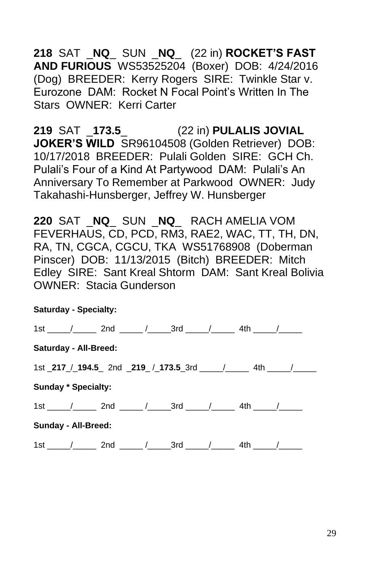**218** SAT \_**NQ**\_ SUN \_**NQ**\_ (22 in) **ROCKET'S FAST AND FURIOUS** WS53525204 (Boxer) DOB: 4/24/2016 (Dog) BREEDER: Kerry Rogers SIRE: Twinkle Star v. Eurozone DAM: Rocket N Focal Point's Written In The Stars OWNER: Kerri Carter

**219** SAT \_**173.5**\_ (22 in) **PULALIS JOVIAL JOKER'S WILD** SR96104508 (Golden Retriever) DOB: 10/17/2018 BREEDER: Pulali Golden SIRE: GCH Ch. Pulali's Four of a Kind At Partywood DAM: Pulali's An Anniversary To Remember at Parkwood OWNER: Judy Takahashi-Hunsberger, Jeffrey W. Hunsberger

**220** SAT \_**NQ**\_ SUN \_**NQ**\_ RACH AMELIA VOM FEVERHAUS, CD, PCD, RM3, RAE2, WAC, TT, TH, DN, RA, TN, CGCA, CGCU, TKA WS51768908 (Doberman Pinscer) DOB: 11/13/2015 (Bitch) BREEDER: Mitch Edley SIRE: Sant Kreal Shtorm DAM: Sant Kreal Bolivia OWNER: Stacia Gunderson

# **Saturday - Specialty:** 1st \_\_\_\_\_/\_\_\_\_\_\_ 2nd \_\_\_\_\_\_/\_\_\_\_\_\_\_3rd \_\_\_\_\_/\_\_\_\_\_\_\_\_\_\_ 4th \_\_\_\_\_/\_\_\_\_\_\_ **Saturday - All-Breed:** 1st **217** / **194.5** 2nd **219** / **173.5** 3rd / 4th / **Sunday \* Specialty:** 1st \_\_\_\_\_/\_\_\_\_\_\_\_ 2nd \_\_\_\_\_\_/\_\_\_\_\_\_\_3rd \_\_\_\_\_/\_\_\_\_\_\_\_\_ 4th \_\_\_\_\_/\_\_\_\_\_\_ **Sunday - All-Breed:** 1st  $\frac{1}{2}$  2nd  $\frac{1}{2}$  3rd  $\frac{1}{2}$  4th  $\frac{1}{2}$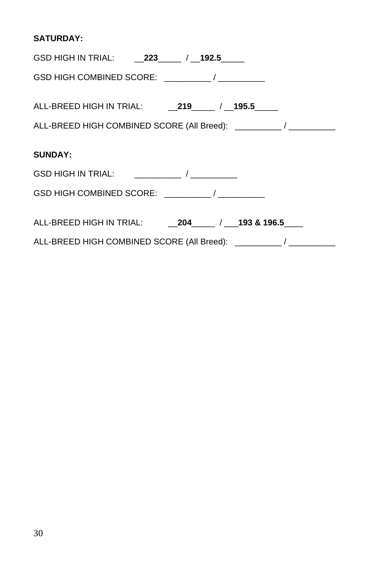### **SATURDAY:**

| ALL-BREED HIGH COMBINED SCORE (All Breed): __________/ ___________ |
|--------------------------------------------------------------------|
|                                                                    |
| <b>SUNDAY:</b>                                                     |
|                                                                    |
|                                                                    |
|                                                                    |
|                                                                    |
| ALL-BREED HIGH COMBINED SCORE (All Breed): __________/ __________  |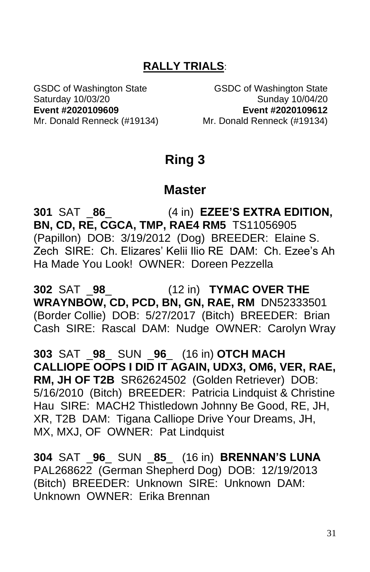## **RALLY TRIALS**:

GSDC of Washington State GSDC of Washington State Saturday 10/03/20 Sunday 10/04/20 **Event #2020109609 Event #2020109612** Mr. Donald Renneck (#19134) Mr. Donald Renneck (#19134)

# **Ring 3**

## **Master**

**301** SAT \_**86**\_ (4 in) **EZEE'S EXTRA EDITION, BN, CD, RE, CGCA, TMP, RAE4 RM5** TS11056905 (Papillon) DOB: 3/19/2012 (Dog) BREEDER: Elaine S. Zech SIRE: Ch. Elizares' Kelii Ilio RE DAM: Ch. Ezee's Ah Ha Made You Look! OWNER: Doreen Pezzella

**302** SAT \_**98**\_ (12 in) **TYMAC OVER THE WRAYNBOW, CD, PCD, BN, GN, RAE, RM** DN52333501 (Border Collie) DOB: 5/27/2017 (Bitch) BREEDER: Brian Cash SIRE: Rascal DAM: Nudge OWNER: Carolyn Wray

**303** SAT \_**98**\_ SUN \_**96**\_ (16 in) **OTCH MACH CALLIOPE OOPS I DID IT AGAIN, UDX3, OM6, VER, RAE, RM, JH OF T2B** SR62624502 (Golden Retriever) DOB: 5/16/2010 (Bitch) BREEDER: Patricia Lindquist & Christine Hau SIRE: MACH2 Thistledown Johnny Be Good, RE, JH, XR, T2B DAM: Tigana Calliope Drive Your Dreams, JH, MX, MXJ, OF OWNER: Pat Lindquist

**304** SAT \_**96**\_ SUN \_**85**\_ (16 in) **BRENNAN'S LUNA** PAL268622 (German Shepherd Dog) DOB: 12/19/2013 (Bitch) BREEDER: Unknown SIRE: Unknown DAM: Unknown OWNER: Erika Brennan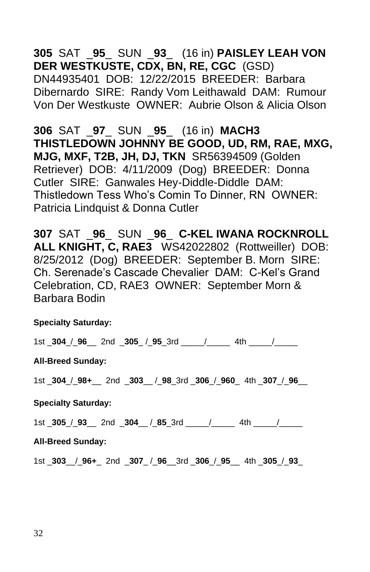## **305** SAT \_**95**\_ SUN \_**93**\_ (16 in) **PAISLEY LEAH VON DER WESTKUSTE, CDX, BN, RE, CGC** (GSD) DN44935401 DOB: 12/22/2015 BREEDER: Barbara Dibernardo SIRE: Randy Vom Leithawald DAM: Rumour Von Der Westkuste OWNER: Aubrie Olson & Alicia Olson

**306** SAT \_**97**\_ SUN \_**95**\_ (16 in) **MACH3 THISTLEDOWN JOHNNY BE GOOD, UD, RM, RAE, MXG, MJG, MXF, T2B, JH, DJ, TKN** SR56394509 (Golden Retriever) DOB: 4/11/2009 (Dog) BREEDER: Donna Cutler SIRE: Ganwales Hey-Diddle-Diddle DAM: Thistledown Tess Who's Comin To Dinner, RN OWNER: Patricia Lindquist & Donna Cutler

**307** SAT \_**96**\_ SUN \_**96**\_ **C-KEL IWANA ROCKNROLL ALL KNIGHT, C, RAE3** WS42022802 (Rottweiller) DOB: 8/25/2012 (Dog) BREEDER: September B. Morn SIRE: Ch. Serenade's Cascade Chevalier DAM: C-Kel's Grand Celebration, CD, RAE3 OWNER: September Morn & Barbara Bodin

#### **Specialty Saturday:**

1st \_**304**\_/\_**96**\_\_ 2nd \_**305**\_ /\_**95**\_3rd \_\_\_\_\_/\_\_\_\_\_ 4th \_\_\_\_\_/\_\_\_\_\_

#### **All-Breed Sunday:**

1st \_**304**\_/\_**98+**\_\_ 2nd \_**303**\_\_ /\_**98**\_3rd \_**306**\_/\_**960**\_ 4th \_**307**\_/\_**96**\_\_

#### **Specialty Saturday:**

1st \_**305**\_/\_**93**\_\_ 2nd \_**304**\_\_ /\_**85**\_3rd \_\_\_\_\_/\_\_\_\_\_ 4th \_\_\_\_\_/\_\_\_\_\_

#### **All-Breed Sunday:**

1st \_**303**\_\_/\_**96+**\_ 2nd \_**307**\_ /\_**96**\_\_3rd \_**306**\_/\_**95**\_\_ 4th \_**305**\_/\_**93**\_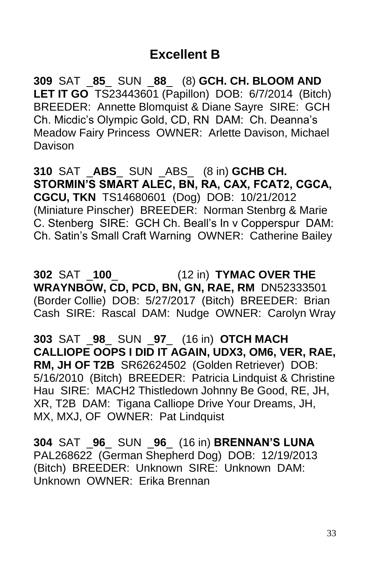## **Excellent B**

**309** SAT \_**85**\_ SUN \_**88**\_ (8) **GCH. CH. BLOOM AND LET IT GO** TS23443601 (Papillon) DOB: 6/7/2014 (Bitch) BREEDER: Annette Blomquist & Diane Sayre SIRE: GCH Ch. Micdic's Olympic Gold, CD, RN DAM: Ch. Deanna's Meadow Fairy Princess OWNER: Arlette Davison, Michael Davison

**310** SAT \_**ABS**\_ SUN \_ABS\_ (8 in) **GCHB CH. STORMIN'S SMART ALEC, BN, RA, CAX, FCAT2, CGCA, CGCU, TKN** TS14680601 (Dog) DOB: 10/21/2012 (Miniature Pinscher) BREEDER: Norman Stenbrg & Marie C. Stenberg SIRE: GCH Ch. Beall's In v Copperspur DAM: Ch. Satin's Small Craft Warning OWNER: Catherine Bailey

**302** SAT \_**100**\_ (12 in) **TYMAC OVER THE WRAYNBOW, CD, PCD, BN, GN, RAE, RM** DN52333501 (Border Collie) DOB: 5/27/2017 (Bitch) BREEDER: Brian Cash SIRE: Rascal DAM: Nudge OWNER: Carolyn Wray

**303** SAT \_**98**\_ SUN \_**97**\_ (16 in) **OTCH MACH CALLIOPE OOPS I DID IT AGAIN, UDX3, OM6, VER, RAE, RM, JH OF T2B** SR62624502 (Golden Retriever) DOB: 5/16/2010 (Bitch) BREEDER: Patricia Lindquist & Christine Hau SIRE: MACH2 Thistledown Johnny Be Good, RE, JH, XR, T2B DAM: Tigana Calliope Drive Your Dreams, JH, MX, MXJ, OF OWNER: Pat Lindquist

**304** SAT \_**96**\_ SUN \_**96**\_ (16 in) **BRENNAN'S LUNA** PAL268622 (German Shepherd Dog) DOB: 12/19/2013 (Bitch) BREEDER: Unknown SIRE: Unknown DAM: Unknown OWNER: Erika Brennan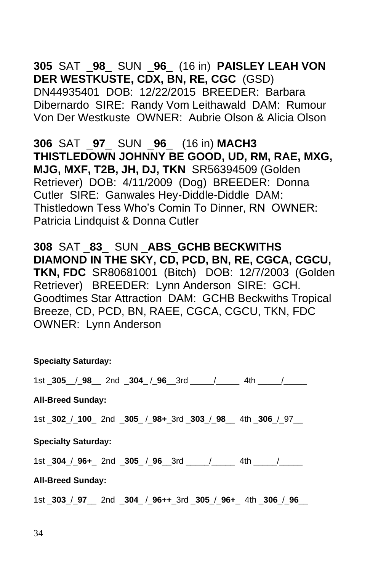## **305** SAT \_**98**\_ SUN \_**96**\_ (16 in) **PAISLEY LEAH VON DER WESTKUSTE, CDX, BN, RE, CGC** (GSD) DN44935401 DOB: 12/22/2015 BREEDER: Barbara Dibernardo SIRE: Randy Vom Leithawald DAM: Rumour Von Der Westkuste OWNER: Aubrie Olson & Alicia Olson

**306** SAT \_**97**\_ SUN \_**96**\_ (16 in) **MACH3 THISTLEDOWN JOHNNY BE GOOD, UD, RM, RAE, MXG, MJG, MXF, T2B, JH, DJ, TKN** SR56394509 (Golden Retriever) DOB: 4/11/2009 (Dog) BREEDER: Donna Cutler SIRE: Ganwales Hey-Diddle-Diddle DAM: Thistledown Tess Who's Comin To Dinner, RN OWNER: Patricia Lindquist & Donna Cutler

**308** SAT \_**83**\_ SUN \_**ABS**\_**GCHB BECKWITHS DIAMOND IN THE SKY, CD, PCD, BN, RE, CGCA, CGCU, TKN, FDC** SR80681001 (Bitch) DOB: 12/7/2003 (Golden Retriever) BREEDER: Lynn Anderson SIRE: GCH. Goodtimes Star Attraction DAM: GCHB Beckwiths Tropical Breeze, CD, PCD, BN, RAEE, CGCA, CGCU, TKN, FDC OWNER: Lynn Anderson

**Specialty Saturday:**

1st \_**305**\_\_/\_**98**\_\_ 2nd \_**304**\_ /\_**96**\_\_3rd \_\_\_\_\_/\_\_\_\_\_ 4th \_\_\_\_\_/\_\_\_\_\_

**All-Breed Sunday:**

1st \_**302**\_/\_**100**\_ 2nd \_**305**\_ /\_**98+**\_3rd \_**303**\_/\_**98**\_\_ 4th \_**306**\_/\_97\_\_

**Specialty Saturday:**

1st \_**304**\_/\_**96+**\_ 2nd \_**305**\_ /\_**96**\_\_3rd \_\_\_\_\_/\_\_\_\_\_ 4th \_\_\_\_\_/\_\_\_\_\_

**All-Breed Sunday:**

1st \_**303**\_/\_**97**\_\_ 2nd \_**304**\_ /\_**96++**\_3rd \_**305**\_/\_**96+**\_ 4th \_**306**\_/\_**96**\_\_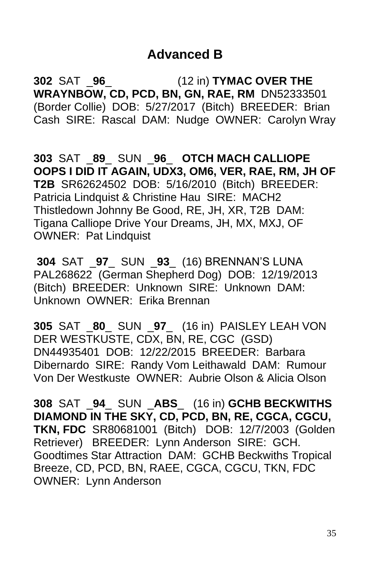## **Advanced B**

**302** SAT \_**96**\_ (12 in) **TYMAC OVER THE WRAYNBOW, CD, PCD, BN, GN, RAE, RM** DN52333501 (Border Collie) DOB: 5/27/2017 (Bitch) BREEDER: Brian Cash SIRE: Rascal DAM: Nudge OWNER: Carolyn Wray

**303** SAT \_**89**\_ SUN \_**96**\_ **OTCH MACH CALLIOPE OOPS I DID IT AGAIN, UDX3, OM6, VER, RAE, RM, JH OF T2B** SR62624502 DOB: 5/16/2010 (Bitch) BREEDER: Patricia Lindquist & Christine Hau SIRE: MACH2 Thistledown Johnny Be Good, RE, JH, XR, T2B DAM: Tigana Calliope Drive Your Dreams, JH, MX, MXJ, OF OWNER: Pat Lindquist

**304** SAT \_**97**\_ SUN \_**93**\_ (16) BRENNAN'S LUNA PAL268622 (German Shepherd Dog) DOB: 12/19/2013 (Bitch) BREEDER: Unknown SIRE: Unknown DAM: Unknown OWNER: Erika Brennan

**305** SAT \_**80**\_ SUN \_**97**\_ (16 in) PAISLEY LEAH VON DER WESTKUSTE, CDX, BN, RE, CGC (GSD) DN44935401 DOB: 12/22/2015 BREEDER: Barbara Dibernardo SIRE: Randy Vom Leithawald DAM: Rumour Von Der Westkuste OWNER: Aubrie Olson & Alicia Olson

**308** SAT \_**94**\_ SUN \_**ABS**\_ (16 in) **GCHB BECKWITHS DIAMOND IN THE SKY, CD, PCD, BN, RE, CGCA, CGCU, TKN, FDC** SR80681001 (Bitch) DOB: 12/7/2003 (Golden Retriever) BREEDER: Lynn Anderson SIRE: GCH. Goodtimes Star Attraction DAM: GCHB Beckwiths Tropical Breeze, CD, PCD, BN, RAEE, CGCA, CGCU, TKN, FDC OWNER: Lynn Anderson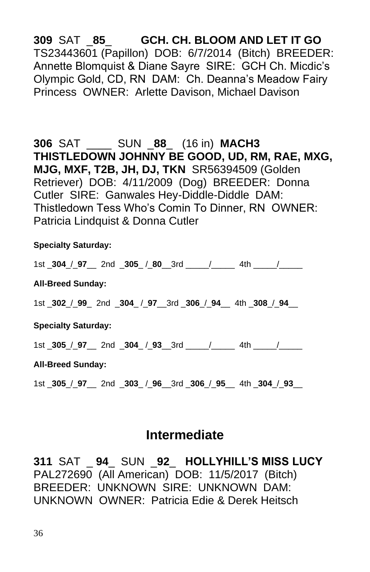**309** SAT \_**85**\_ **GCH. CH. BLOOM AND LET IT GO** TS23443601 (Papillon) DOB: 6/7/2014 (Bitch) BREEDER: Annette Blomquist & Diane Sayre SIRE: GCH Ch. Micdic's Olympic Gold, CD, RN DAM: Ch. Deanna's Meadow Fairy Princess OWNER: Arlette Davison, Michael Davison

**306** SAT \_\_\_\_ SUN \_**88**\_ (16 in) **MACH3 THISTLEDOWN JOHNNY BE GOOD, UD, RM, RAE, MXG, MJG, MXF, T2B, JH, DJ, TKN** SR56394509 (Golden Retriever) DOB: 4/11/2009 (Dog) BREEDER: Donna Cutler SIRE: Ganwales Hey-Diddle-Diddle DAM: Thistledown Tess Who's Comin To Dinner, RN OWNER: Patricia Lindquist & Donna Cutler

#### **Specialty Saturday:**

1st \_**304**\_/\_**97**\_\_ 2nd \_**305**\_ /\_**80**\_\_3rd \_\_\_\_\_/\_\_\_\_\_ 4th \_\_\_\_\_/\_\_\_\_\_ **All-Breed Sunday:** 1st \_**302**\_/\_**99**\_ 2nd \_**304**\_ /\_**97**\_\_3rd \_**306**\_/\_**94**\_\_ 4th \_**308**\_/\_**94**\_\_ **Specialty Saturday:** 1st \_**305**\_/\_**97**\_\_ 2nd \_**304**\_ /\_**93**\_\_3rd \_\_\_\_\_/\_\_\_\_\_ 4th \_\_\_\_\_/\_\_\_\_\_ **All-Breed Sunday:**

1st \_**305**\_/\_**97**\_\_ 2nd \_**303**\_ /\_**96**\_\_3rd \_**306**\_/\_**95**\_\_ 4th \_**304**\_/\_**93**\_\_

## **Intermediate**

**311** SAT \_ **94**\_ SUN \_**92**\_ **HOLLYHILL'S MISS LUCY** PAL272690 (All American) DOB: 11/5/2017 (Bitch) BREEDER: UNKNOWN SIRE: UNKNOWN DAM: UNKNOWN OWNER: Patricia Edie & Derek Heitsch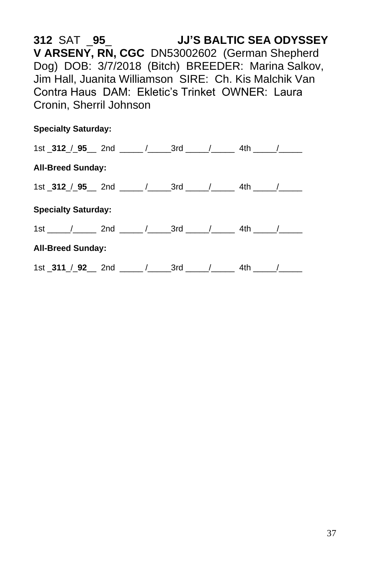**312** SAT \_**95**\_ **JJ'S BALTIC SEA ODYSSEY V ARSENY, RN, CGC** DN53002602 (German Shepherd Dog) DOB: 3/7/2018 (Bitch) BREEDER: Marina Salkov, Jim Hall, Juanita Williamson SIRE: Ch. Kis Malchik Van Contra Haus DAM: Ekletic's Trinket OWNER: Laura Cronin, Sherril Johnson

#### **Specialty Saturday:**

|                          | 1st _312 $/$ _95 $\_\$ 2nd $\_\_\_\$ / $\_\_$ 3rd $\_\_\_\$ / $\_\_\_$ 4th $\_\_\_\_\$ |  |  |  |  |  |  |  |  |  |
|--------------------------|----------------------------------------------------------------------------------------|--|--|--|--|--|--|--|--|--|
| <b>All-Breed Sunday:</b> |                                                                                        |  |  |  |  |  |  |  |  |  |
|                          | 1st _312 $/$ _95 $\_\$ 2nd $\_\_\_\$ / $\_\_$ 3rd $\_\_\_\$ / $\_\_\_$ 4th $\_\_\_\_\$ |  |  |  |  |  |  |  |  |  |
|                          | <b>Specialty Saturday:</b>                                                             |  |  |  |  |  |  |  |  |  |
|                          | $1st$ $/$ $/$ 2nd $/$ $/$ 3rd $/$ $/$ 4th $/$                                          |  |  |  |  |  |  |  |  |  |
| <b>All-Breed Sunday:</b> |                                                                                        |  |  |  |  |  |  |  |  |  |
|                          | 1st _311 / _92 __ 2nd _____ / ______3rd ____ / ________ 4th _____ / ______             |  |  |  |  |  |  |  |  |  |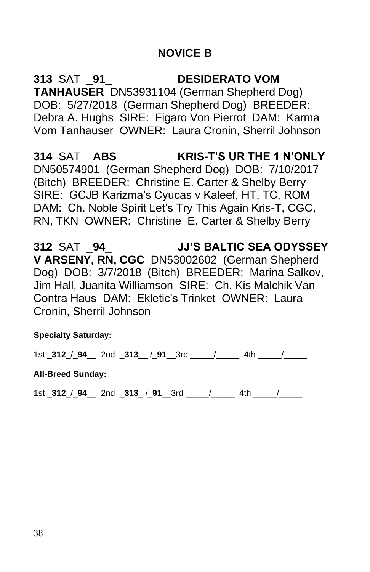## **NOVICE B**

**313** SAT \_**91**\_ **DESIDERATO VOM TANHAUSER** DN53931104 (German Shepherd Dog) DOB: 5/27/2018 (German Shepherd Dog) BREEDER: Debra A. Hughs SIRE: Figaro Von Pierrot DAM: Karma Vom Tanhauser OWNER: Laura Cronin, Sherril Johnson

**314** SAT \_**ABS**\_ **KRIS-T'S UR THE 1 N'ONLY** DN50574901 (German Shepherd Dog) DOB: 7/10/2017 (Bitch) BREEDER: Christine E. Carter & Shelby Berry SIRE: GCJB Karizma's Cyucas v Kaleef, HT, TC, ROM DAM: Ch. Noble Spirit Let's Try This Again Kris-T, CGC, RN, TKN OWNER: Christine E. Carter & Shelby Berry

**312** SAT \_**94**\_ **JJ'S BALTIC SEA ODYSSEY V ARSENY, RN, CGC** DN53002602 (German Shepherd Dog) DOB: 3/7/2018 (Bitch) BREEDER: Marina Salkov, Jim Hall, Juanita Williamson SIRE: Ch. Kis Malchik Van Contra Haus DAM: Ekletic's Trinket OWNER: Laura Cronin, Sherril Johnson

**Specialty Saturday:**

1st \_**312**\_/\_**94**\_\_ 2nd \_**313**\_\_ /\_**91**\_\_3rd \_\_\_\_\_/\_\_\_\_\_ 4th \_\_\_\_\_/\_\_\_\_\_

#### **All-Breed Sunday:**

1st \_**312**\_/\_**94**\_\_ 2nd \_**313**\_ /\_**91**\_\_3rd \_\_\_\_\_/\_\_\_\_\_ 4th \_\_\_\_\_/\_\_\_\_\_